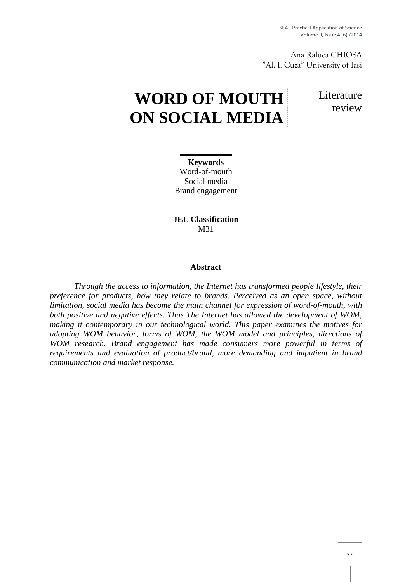SEA - Practical Application of Science Volume II, Issue 4 (6) /2014

Ana Raluca CHIOSA "Al. I. Cuza" University of Iasi

# **WORD OF MOUTH ON SOCIAL MEDIA**

Literature review

**Keywords** Word-of-mouth Social media Brand engagement

**JEL Classification** M31

## **Abstract**

*Through the access to information, the Internet has transformed people lifestyle, their preference for products, how they relate to brands. Perceived as an open space, without limitation, social media has become the main channel for expression of word-of-mouth, with both positive and negative effects. Thus The Internet has allowed the development of WOM, making it contemporary in our technological world. This paper examines the motives for adopting WOM behavior,forms of WOM, the WOM model and principles, directions of WOM research. Brand engagement has made consumers more powerful in terms of requirements and evaluation of product/brand, more demanding and impatient in brand communication and market response.*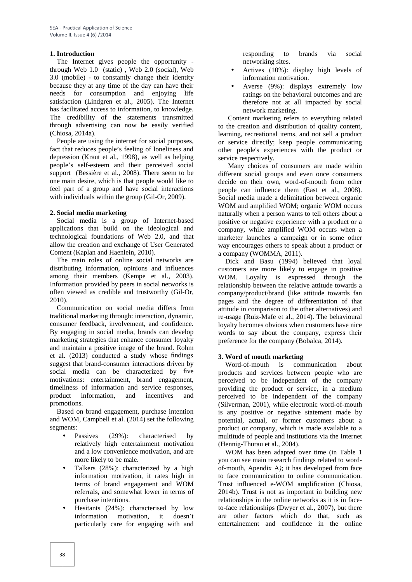## **1. Introduction**

The Internet gives people the opportunity through Web 1.0 (static) , Web 2.0 (social), Web 3.0 (mobile) - to constantly change their identity because they at any time of the day can have their needs for consumption and enjoying life satisfaction (Lindgren et al., 2005). The Internet has facilitated access to information, to knowledge. The credibility of the statements transmitted through advertising can now be easily verified (Chiosa, 2014a).

People are using the internet for social purposes, fact that reduces people's feeling of loneliness and depression (Kraut et al., 1998), as well as helping people's self-esteem and their perceived social support (Bessière et al., 2008). There seem to be one main desire, which is that people would like to feel part of a group and have social interactions with individuals within the group (Gil-Or, 2009).

### **2. Social media marketing**

Social media is a group of Internet-based applications that build on the ideological and technological foundations of Web 2.0, and that allow the creation and exchange of User Generated Content (Kaplan and Haenlein, 2010).

The main roles of online social networks are distributing information, opinions and influences among their members (Kempe et al., 2003). Information provided by peers in social networks is often viewed as credible and trustworthy (Gil-Or, 2010).

Communication on social media differs from traditional marketing through: interaction, dynamic, consumer feedback, involvement, and confidence. By engaging in social media, brands can develop marketing strategies that enhance consumer loyalty and maintain a positive image of the brand. Rohm et al. (2013) conducted a study whose findings suggest that brand-consumer interactions driven by social media can be characterized by five motivations: entertainment, brand engagement, timeliness of information and service responses, product information, and incentives and promotions.

Based on brand engagement, purchase intention and WOM, Campbell et al. (2014) set the following segments:

- Passives (29%): characterised by relatively high entertainment motivation and a low convenience motivation, and are more likely to be male.
- Talkers (28%): characterized by a high information motivation, it rates high in terms of brand engagement and WOM referrals, and somewhat lower in terms of purchase intentions.
- Hesitants (24%): characterised by low information motivation, it doesn't particularly care for engaging with and

responding to brands via social networking sites.

- Actives (10%): display high levels of information motivation.
- Averse (9%): displays extremely low ratings on the behavioral outcomes and are therefore not at all impacted by social network marketing.

Content marketing refers to everything related to the creation and distribution of quality content, learning, recreational items, and not sell a product or service directly; keep people communicating other people's experiences with the product or service respectively.

Many choices of consumers are made within different social groups and even once consumers decide on their own, word-of-mouth from other people can influence them (East et al., 2008). Social media made a delimitation between organic WOM and amplified WOM; organic WOM occurs naturally when a person wants to tell others about a positive or negative experience with a product or a company, while amplified WOM occurs when a marketer launches a campaign or in some other way encourages others to speak about a product or a company (WOMMA, 2011).

Dick and Basu (1994) believed that loyal customers are more likely to engage in positive WOM. Loyalty is expressed through the relationship between the relative attitude towards a company/product/brand (like attitude towards fan pages and the degree of differentiation of that attitude in comparison to the other alternatives) and re-usage (Ruiz-Mafe et al., 2014). The behavioural loyalty becomes obvious when customers have nice words to say about the company, express their preference for the company (Bobalca, 2014).

## **3. Word of mouth marketing**

Word-of-mouth is communication about products and services between people who are perceived to be independent of the company providing the product or service, in a medium perceived to be independent of the company (Silverman, 2001), while electronic word-of-mouth is any positive or negative statement made by potential, actual, or former customers about a product or company, which is made available to a multitude of people and institutions via the Internet (Hennig-Thurau et al., 2004).

WOM has been adapted over time (in Table 1 you can see main research findings related to word of-mouth, Apendix A*)*; it has developed from face to face communication to online communication. Trust influenced e-WOM amplification (Chiosa, 2014b). Trust is not as important in building new relationships in the online networks as it is in faceto-face relationships (Dwyer et al., 2007), but there are other factors which do that, such as entertainement and confidence in the online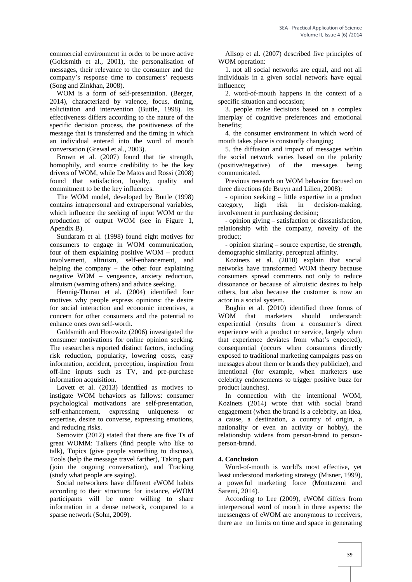commercial environment in order to be more active (Goldsmith et al., 2001), the personalisation of messages, their relevance to the consumer and the company's response time to consumers' requests (Song and Zinkhan, 2008).

WOM is a form of self-presentation. (Berger, 2014), characterized by valence, focus, timing, solicitation and intervention (Buttle, 1998). Its effectiveness differs according to the nature of the specific decision process, the positiveness of the message that is transferred and the timing in which an individual entered into the word of mouth conversation (Grewal et al., 2003).

Brown et al. (2007) found that tie strength, homophily, and source credibility to be the key drivers of WOM, while De Matos and Rossi (2008) found that satisfaction, loyalty, quality and commitment to be the key influences.

The WOM model, developed by Buttle (1998) contains intrapersonal and extrapersonal variables, which influence the seeking of input WOM or the production of output WOM (see in Figure 1, Apendix B).

Sundaram et al. (1998) found eight motives for consumers to engage in WOM communication, four of them explaining positive WOM – product involvement, altruism, self-enhancement, and helping the company – the other four explaining negative WOM – vengeance, anxiety reduction, altruism (warning others) and advice seeking.

Hennig-Thurau et al. (2004) identified four motives why people express opinions: the desire for social interaction and economic incentives, a concern for other consumers and the potential to WOM enhance ones own self-worth.

Goldsmith and Horowitz (2006) investigated the consumer motivations for online opinion seeking. The researchers reported distinct factors, including risk reduction, popularity, lowering costs, easy information, accident, perception, inspiration from off-line inputs such as TV, and pre-purchase information acquisition.

Lovett et al. (2013) identified as motives to instigate WOM behaviors as fallows: consumer psychological motivations are self-presentation, self-enhancement, expressing uniqueness or expertise, desire to converse, expressing emotions, and reducing risks.

Sernovitz (2012) stated that there are five Ts of great WOMM: Talkers (find people who like to talk), Topics (give people something to discuss), Tools (help the message travel farther), Taking part (join the ongoing conversation), and Tracking (study what people are saying).

Social networkers have different eWOM habits according to their structure; for instance, eWOM participants will be more willing to share information in a dense network, compared to a sparse network (Sohn, 2009).

Allsop et al. (2007) described five principles of WOM operation:

1. not all social networks are equal, and not all individuals in a given social network have equal influence;

2. word-of-mouth happens in the context of a specific situation and occasion;

3. people make decisions based on a complex interplay of cognitive preferences and emotional benefits;

4. the consumer environment in which word of mouth takes place is constantly changing;

5. the diffusion and impact of messages within the social network varies based on the polarity (positive/negative) of the messages being communicated.

Previous research on WOM behavior focused on three directions (de Bruyn and Lilien, 2008):

- opinion seeking – little expertise in a product category, high risk in decision-making, involvement in purchasing decision;

- opinion giving – satisfaction or disssatisfaction, relationship with the company, novelty of the product;

- opinion sharing – source expertise, tie strength, demographic similarity, perceptual affinity.

Kozinets et al. (2010) explain that social networks have transformed WOM theory because consumers spread comments not only to reduce dissonance or because of altruistic desires to help others, but also because the customer is now an actor in a social system.

Bughin et al. (2010) identified three forms of that marketers should understand: experiential (results from a consumer's direct experience with a product or service, largely when that experience deviates from what's expected), consequential (occurs when consumers directly exposed to traditional marketing campaigns pass on messages about them or brands they publicize), and intentional (for example, when marketers use celebrity endorsements to trigger positive buzz for product launches).

In connection with the intentional WOM, Kozinets (2014) wrote that with social brand engagement (when the brand is a celebrity, an idea, a cause, a destination, a country of origin, a nationality or even an activity or hobby), the relationship widens from person-brand to person person-brand.

## **4. Conclusion**

Word-of-mouth is world's most effective*,* yet least understood marketing strategy (Misner, 1999), a powerful marketing force (Montazemi and Saremi, 2014).

According to Lee (2009), eWOM differs from interpersonal word of mouth in three aspects: the messengers of eWOM are anonymous to receivers, there are no limits on time and space in generating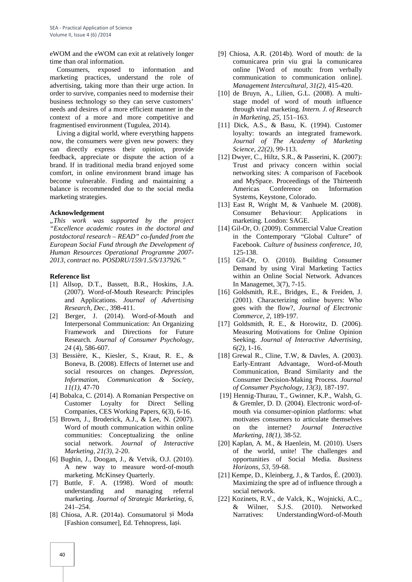eWOM and the eWOM can exit at relatively longer time than oral information.

Consumers, exposed to information and marketing practices, understand the role of advertising, taking more than their urge action. In order to survive, companies need to modernise their business technology so they can serve customers' needs and desires of a more efficient manner in the context of a more and more competitive and fragmentised environment (Tugulea, 2014).

Living a digital world, where everything happens now, the consumers were given new powers: they can directly express their opinion, provide feedback, appreciate or dispute the action of a brand. If in traditional media brand enjoyed some comfort, in online environment brand image has become vulnerable. Finding and maintaining a balance is recommended due to the social media marketing strategies.

#### **Acknowledgement**

*"This work was supported by the project "Excellence academic routes in the doctoral and postdoctoral research – READ" co-funded from the European Social Fund through the Development of Human Resources Operational Programme 2007- 2013, contract no. POSDRU/159/1.5/S/137926."*

#### **Reference list**

- [1] Allsop, D.T., Bassett, B.R., Hoskins, J.A. (2007). Word-of-Mouth Research: Principles and Applications. *Journal of Advertising Research, Dec.,* 398-411.
- [2] Berger, J. (2014). Word-of-Mouth and Interpersonal Communication: An Organizing Framework and Directions for Future Research. *Journal of Consumer Psychology, 24* (4), 586-607.
- [3] Bessière, K., Kiesler, S., Kraut, R. E., & Boneva, B. (2008). Effects of Internet use and social resources on changes. *Depression, Information, Communication & Society, 11(1),* 47-70
- [4] Bobalca, C. (2014). A Romanian Perspective on Customer Loyalty for Direct Selling Companies, CES Working Papers, 6(3), 6-16.
- [5] Brown, J., Broderick, A.J., & Lee, N. (2007). Word of mouth communication within online communities: Conceptualizing the online social network. *Journal of Interactive Marketing, 21(3),* 2-20.
- [6] Bughin, J., Doogan, J., & Vetvik, O.J. (2010). A new way to measure word-of-mouth marketing. McKinsey Quarterly.
- [7] Buttle, F. A. (1998). Word of mouth: understanding and managing referral marketing. *Journal of Strategic Marketing, 6,* 241–254.
- [8] Chiosa, A.R. (2014a). Consumatorul i Moda [Fashion consumer], Ed. Tehnopress, Ia i.
- [9] Chiosa, A.R. (2014b). Word of mouth: de la comunicarea prin viu grai la comunicarea online [Word of mouth: from verbally communication to communication online]. *Management Intercultural, 31(2),* 415-420.
- [10] de Bruyn, A., Lilien, G.L. (2008). A multi stage model of word of mouth influence through viral marketing. *Intern. J. of Research in Marketing, 25,* 151–163.
- [11] Dick, A.S., & Basu, K. (1994). Customer loyalty: towards an integrated framework. *Journal of The Academy of Marketing Science, 22(2),* 99-113.
- [12] Dwyer, C., Hiltz, S.R., & Passerini, K. (2007): Trust and privacy concern within social networking sites: A comparison of Facebook and MySpace. Proceedings of the Thirteenth Americas Conference on Information Systems, Keystone, Colorado.
- [13] East R, Wright M, & Vanhuele M. (2008). Consumer Behaviour: Applications in marketing. London: SAGE.
- [14] Gil-Or, O. (2009). Commercial Value Creation in the Contemporary "Global Culture" of Facebook. *Culture of business conference, 10,* 125-138.
- [15] Gil-Or, O. (2010). Building Consumer Demand by using Viral Marketing Tactics within an Online Social Network. Advances In Managemet, 3(7), 7-15.
- [16] Goldsmith, R.E., Bridges, E., & Freiden, J. (2001). Characterizing online buyers: Who goes with the flow?, *Journal of Electronic Commerce, 2,* 189-197.
- [17] Goldsmith, R. E., & Horowitz, D. (2006). Measuring Motivations for Online Opinion Seeking. *Journal of Interactive Advertising, 6(2),* 1-16.
- [18] Grewal R., Cline, T.W, & Davles, A. (2003). Early-Entrant Advantage, Word-of-Mouth Communication, Brand Similarity and the Consumer Decision-Making Process. *Journal of Consumer Psychology, 13(3),* 187-197.
- [19] Hennig-Thurau, T., Gwinner, K.P., Walsh, G. & Gremler, D. D. (2004). Electronic word-of mouth via consumer-opinion platforms: what motivates consumers to articulate themselves on the internet? *Journal Interactive Marketing, 18(1),* 38-52.
- [20] Kaplan, A. M., & Haenlein, M. (2010). Users of the world, unite! The challenges and opportunities of Social Media. *Business Horizons, 53*, 59-68.
- [21] Kempe, D., Kleinberg, J., & Tardos, É. (2003). Maximizing the spre ad of influence through a social network.
- [22] Kozinets, R.V., de Valck, K., Wojnicki, A.C., & Wilner, S.J.S. (2010). Networked Narratives: UnderstandingWord-of-Mouth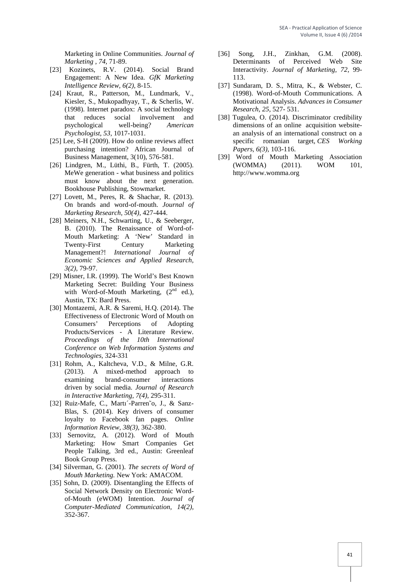Marketing in Online Communities. *Journal of Marketing , 74,* 71-89.

- [23] Kozinets, R.V. (2014). Social Brand Engagement: A New Idea. *GfK Marketing Intelligence Review, 6(2),* 8-15.
- [24] Kraut, R., Patterson, M., Lundmark, V., Kiesler, S., Mukopadhyay, T., & Scherlis, W. (1998). Internet paradox: A social technology that reduces social involvement and psychological well-being? *American Psychologist, 53,* 1017-1031.
- [25] Lee, S-H (2009). How do online reviews affect purchasing intention? African Journal of Business Management, 3(10), 576-581.
- [26] Lindgren, M., Lüthi, B., Fürth, T. (2005). MeWe generation - what business and politics must know about the next generation. Bookhouse Publishing, Stowmarket.
- [27] Lovett, M., Peres, R. & Shachar, R. (2013). On brands and word-of-mouth. *Journal of Marketing Research, 50(4),* 427-444.
- [28] Meiners, N.H., Schwarting, U., & Seeberger, B. (2010). The Renaissance of Word-of- Mouth Marketing: A 'New' Standard in Twenty-First Century Marketing Management?! *International Journal of Economic Sciences and Applied Research, 3(2),* 79-97.
- [29] Misner, I.R. (1999). The World's Best Known Marketing Secret: Building Your Business with Word-of-Mouth Marketing,  $(2<sup>nd</sup>$  ed.), Austin, TX: Bard Press.
- [30] Montazemi, A.R. & Saremi, H.Q. (2014). The Effectiveness of Electronic Word of Mouth on Consumers' Perceptions of Adopting Products/Services - A Literature Review. *Proceedings of the 10th International Conference on Web Information Systems and Technologies,* 324-331
- [31] Rohm, A., Kaltcheva, V.D., & Milne, G.R. (2013). A mixed-method approach to examining brand-consumer interactions driven by social media. *Journal of Research in Interactive Marketing, 7(4),* 295-311.
- [32] Ruiz-Mafe, C., Martı´-Parren~o, J., & Sanz-Blas, S. (2014). Key drivers of consumer loyalty to Facebook fan pages. *Online Information Review, 38(3),* 362-380.
- [33] Sernovitz, A. (2012). Word of Mouth Marketing: How Smart Companies Get People Talking, 3rd ed., Austin: Greenleaf Book Group Press.
- [34] Silverman, G. (2001). *The secrets of Word of Mouth Marketing.* New York: AMACOM.
- [35] Sohn, D. (2009). Disentangling the Effects of Social Network Density on Electronic Word of-Mouth (eWOM) Intention. *Journal of Computer-Mediated Communication, 14(2),* 352-367.
- [36] Song, J.H., Zinkhan, G.M. (2008). Determinants of Perceived Web Site Interactivity. *Journal of Marketing, 72,* 99- 113.
- [37] Sundaram, D. S., Mitra, K., & Webster, C. (1998). Word-of-Mouth Communications. A Motivational Analysis. *Advances in Consumer Research, 25,* 527- 531.
- [38] Tugulea, O. (2014). Discriminator credibility dimensions of an online acquisition website an analysis of an international construct on a specific romanian target, *CES Working Papers, 6(3),* 103-116.
- [39] Word of Mouth Marketing Association (WOMMA) (2011). WOM 101, http://www.womma.org